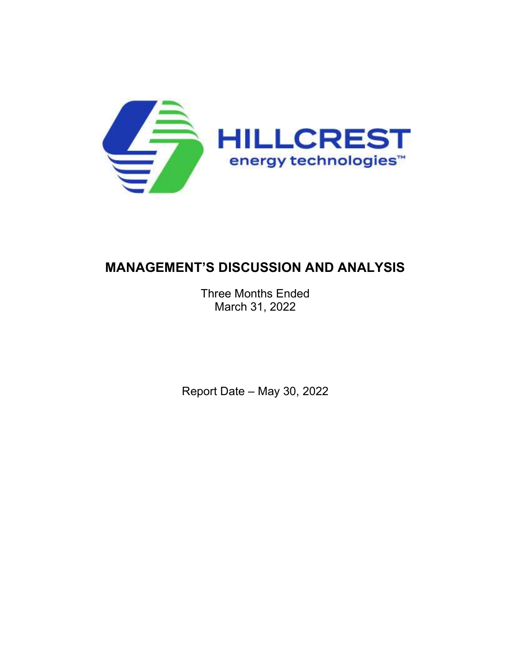

# MANAGEMENT'S DISCUSSION AND ANALYSIS

Three Months Ended March 31, 2022

Report Date – May 30, 2022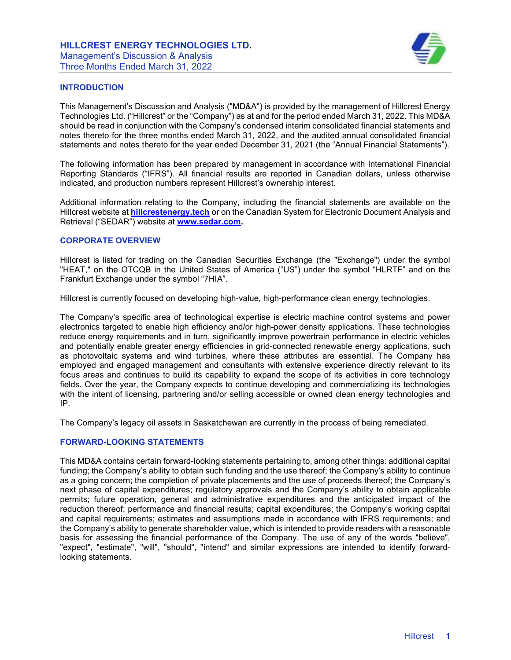

# INTRODUCTION

This Management's Discussion and Analysis ("MD&A") is provided by the management of Hillcrest Energy Technologies Ltd. ("Hillcrest" or the "Company") as at and for the period ended March 31, 2022. This MD&A should be read in conjunction with the Company's condensed interim consolidated financial statements and notes thereto for the three months ended March 31, 2022, and the audited annual consolidated financial statements and notes thereto for the year ended December 31, 2021 (the "Annual Financial Statements").

The following information has been prepared by management in accordance with International Financial Reporting Standards ("IFRS"). All financial results are reported in Canadian dollars, unless otherwise indicated, and production numbers represent Hillcrest's ownership interest.

Additional information relating to the Company, including the financial statements are available on the Hillcrest website at hillcrestenergy.tech or on the Canadian System for Electronic Document Analysis and Retrieval ("SEDAR") website at www.sedar.com.

# CORPORATE OVERVIEW

Hillcrest is listed for trading on the Canadian Securities Exchange (the "Exchange") under the symbol "HEAT," on the OTCQB in the United States of America ("US") under the symbol "HLRTF" and on the Frankfurt Exchange under the symbol "7HIA".

Hillcrest is currently focused on developing high-value, high-performance clean energy technologies.

The Company's specific area of technological expertise is electric machine control systems and power electronics targeted to enable high efficiency and/or high-power density applications. These technologies reduce energy requirements and in turn, significantly improve powertrain performance in electric vehicles and potentially enable greater energy efficiencies in grid-connected renewable energy applications, such as photovoltaic systems and wind turbines, where these attributes are essential. The Company has employed and engaged management and consultants with extensive experience directly relevant to its focus areas and continues to build its capability to expand the scope of its activities in core technology fields. Over the year, the Company expects to continue developing and commercializing its technologies with the intent of licensing, partnering and/or selling accessible or owned clean energy technologies and IP.

The Company's legacy oil assets in Saskatchewan are currently in the process of being remediated.

## FORWARD-LOOKING STATEMENTS

This MD&A contains certain forward-looking statements pertaining to, among other things: additional capital funding; the Company's ability to obtain such funding and the use thereof; the Company's ability to continue as a going concern; the completion of private placements and the use of proceeds thereof; the Company's next phase of capital expenditures; regulatory approvals and the Company's ability to obtain applicable permits; future operation, general and administrative expenditures and the anticipated impact of the reduction thereof; performance and financial results; capital expenditures; the Company's working capital and capital requirements; estimates and assumptions made in accordance with IFRS requirements; and the Company's ability to generate shareholder value, which is intended to provide readers with a reasonable basis for assessing the financial performance of the Company. The use of any of the words "believe", "expect", "estimate", "will", "should", "intend" and similar expressions are intended to identify forwardlooking statements.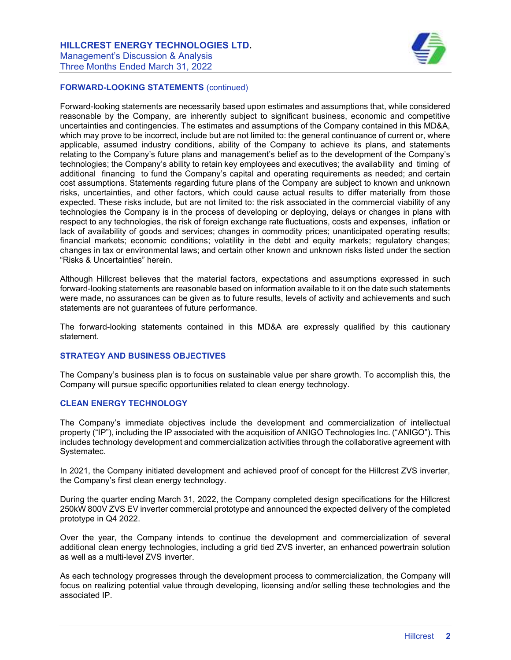

# FORWARD-LOOKING STATEMENTS (continued)

Forward-looking statements are necessarily based upon estimates and assumptions that, while considered reasonable by the Company, are inherently subject to significant business, economic and competitive uncertainties and contingencies. The estimates and assumptions of the Company contained in this MD&A, which may prove to be incorrect, include but are not limited to: the general continuance of current or, where applicable, assumed industry conditions, ability of the Company to achieve its plans, and statements relating to the Company's future plans and management's belief as to the development of the Company's technologies; the Company's ability to retain key employees and executives; the availability and timing of additional financing to fund the Company's capital and operating requirements as needed; and certain cost assumptions. Statements regarding future plans of the Company are subject to known and unknown risks, uncertainties, and other factors, which could cause actual results to differ materially from those expected. These risks include, but are not limited to: the risk associated in the commercial viability of any technologies the Company is in the process of developing or deploying, delays or changes in plans with respect to any technologies, the risk of foreign exchange rate fluctuations, costs and expenses, inflation or lack of availability of goods and services; changes in commodity prices; unanticipated operating results; financial markets; economic conditions; volatility in the debt and equity markets; regulatory changes; changes in tax or environmental laws; and certain other known and unknown risks listed under the section "Risks & Uncertainties" herein.

Although Hillcrest believes that the material factors, expectations and assumptions expressed in such forward-looking statements are reasonable based on information available to it on the date such statements were made, no assurances can be given as to future results, levels of activity and achievements and such statements are not guarantees of future performance.

The forward-looking statements contained in this MD&A are expressly qualified by this cautionary statement.

## STRATEGY AND BUSINESS OBJECTIVES

The Company's business plan is to focus on sustainable value per share growth. To accomplish this, the Company will pursue specific opportunities related to clean energy technology.

# CLEAN ENERGY TECHNOLOGY

The Company's immediate objectives include the development and commercialization of intellectual property ("IP"), including the IP associated with the acquisition of ANIGO Technologies Inc. ("ANIGO"). This includes technology development and commercialization activities through the collaborative agreement with Systematec.

In 2021, the Company initiated development and achieved proof of concept for the Hillcrest ZVS inverter, the Company's first clean energy technology.

During the quarter ending March 31, 2022, the Company completed design specifications for the Hillcrest 250kW 800V ZVS EV inverter commercial prototype and announced the expected delivery of the completed prototype in Q4 2022.

Over the year, the Company intends to continue the development and commercialization of several additional clean energy technologies, including a grid tied ZVS inverter, an enhanced powertrain solution as well as a multi-level ZVS inverter.

As each technology progresses through the development process to commercialization, the Company will focus on realizing potential value through developing, licensing and/or selling these technologies and the associated IP.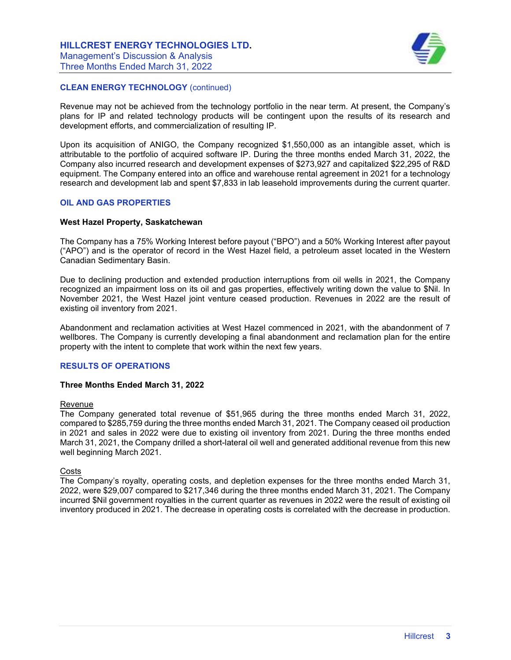

# CLEAN ENERGY TECHNOLOGY (continued)

Revenue may not be achieved from the technology portfolio in the near term. At present, the Company's plans for IP and related technology products will be contingent upon the results of its research and development efforts, and commercialization of resulting IP.

Upon its acquisition of ANIGO, the Company recognized \$1,550,000 as an intangible asset, which is attributable to the portfolio of acquired software IP. During the three months ended March 31, 2022, the Company also incurred research and development expenses of \$273,927 and capitalized \$22,295 of R&D equipment. The Company entered into an office and warehouse rental agreement in 2021 for a technology research and development lab and spent \$7,833 in lab leasehold improvements during the current quarter.

## OIL AND GAS PROPERTIES

#### West Hazel Property, Saskatchewan

The Company has a 75% Working Interest before payout ("BPO") and a 50% Working Interest after payout ("APO") and is the operator of record in the West Hazel field, a petroleum asset located in the Western Canadian Sedimentary Basin.

Due to declining production and extended production interruptions from oil wells in 2021, the Company recognized an impairment loss on its oil and gas properties, effectively writing down the value to \$Nil. In November 2021, the West Hazel joint venture ceased production. Revenues in 2022 are the result of existing oil inventory from 2021.

Abandonment and reclamation activities at West Hazel commenced in 2021, with the abandonment of 7 wellbores. The Company is currently developing a final abandonment and reclamation plan for the entire property with the intent to complete that work within the next few years.

## RESULTS OF OPERATIONS

#### Three Months Ended March 31, 2022

#### Revenue

The Company generated total revenue of \$51,965 during the three months ended March 31, 2022, compared to \$285,759 during the three months ended March 31, 2021. The Company ceased oil production in 2021 and sales in 2022 were due to existing oil inventory from 2021. During the three months ended March 31, 2021, the Company drilled a short-lateral oil well and generated additional revenue from this new well beginning March 2021.

#### **Costs**

The Company's royalty, operating costs, and depletion expenses for the three months ended March 31, 2022, were \$29,007 compared to \$217,346 during the three months ended March 31, 2021. The Company incurred \$Nil government royalties in the current quarter as revenues in 2022 were the result of existing oil inventory produced in 2021. The decrease in operating costs is correlated with the decrease in production.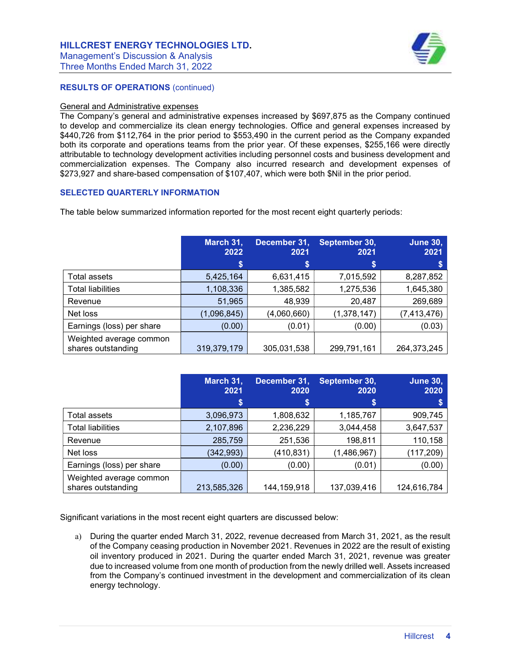# HILLCREST ENERGY TECHNOLOGIES LTD.

Management's Discussion & Analysis Three Months Ended March 31, 2022



# RESULTS OF OPERATIONS (continued)

#### General and Administrative expenses

The Company's general and administrative expenses increased by \$697,875 as the Company continued to develop and commercialize its clean energy technologies. Office and general expenses increased by \$440,726 from \$112,764 in the prior period to \$553,490 in the current period as the Company expanded both its corporate and operations teams from the prior year. Of these expenses, \$255,166 were directly attributable to technology development activities including personnel costs and business development and commercialization expenses. The Company also incurred research and development expenses of \$273,927 and share-based compensation of \$107,407, which were both \$Nil in the prior period.

# SELECTED QUARTERLY INFORMATION

The table below summarized information reported for the most recent eight quarterly periods:

|                                               | March 31,<br>2022 | December 31,<br>2021 | September 30,<br>2021 | June 30,<br>2021 |
|-----------------------------------------------|-------------------|----------------------|-----------------------|------------------|
|                                               | \$                | \$                   | S                     | \$               |
| Total assets                                  | 5,425,164         | 6,631,415            | 7,015,592             | 8,287,852        |
| <b>Total liabilities</b>                      | 1,108,336         | 1,385,582            | 1,275,536             | 1,645,380        |
| Revenue                                       | 51,965            | 48,939               | 20,487                | 269,689          |
| Net loss                                      | (1,096,845)       | (4,060,660)          | (1,378,147)           | (7, 413, 476)    |
| Earnings (loss) per share                     | (0.00)            | (0.01)               | (0.00)                | (0.03)           |
| Weighted average common<br>shares outstanding | 319,379,179       | 305,031,538          | 299,791,161           | 264,373,245      |

|                                               | March 31,<br>2021 | December 31,<br>2020 | September 30,<br>2020 | <b>June 30,</b><br>2020 |
|-----------------------------------------------|-------------------|----------------------|-----------------------|-------------------------|
|                                               | \$                | \$                   | \$                    | S                       |
| Total assets                                  | 3,096,973         | 1,808,632            | 1,185,767             | 909,745                 |
| <b>Total liabilities</b>                      | 2,107,896         | 2,236,229            | 3,044,458             | 3,647,537               |
| Revenue                                       | 285,759           | 251,536              | 198,811               | 110,158                 |
| Net loss                                      | (342, 993)        | (410,831)            | (1,486,967)           | (117, 209)              |
| Earnings (loss) per share                     | (0.00)            | (0.00)               | (0.01)                | (0.00)                  |
| Weighted average common<br>shares outstanding | 213,585,326       | 144, 159, 918        | 137,039,416           | 124,616,784             |

Significant variations in the most recent eight quarters are discussed below:

a) During the quarter ended March 31, 2022, revenue decreased from March 31, 2021, as the result of the Company ceasing production in November 2021. Revenues in 2022 are the result of existing oil inventory produced in 2021. During the quarter ended March 31, 2021, revenue was greater due to increased volume from one month of production from the newly drilled well. Assets increased from the Company's continued investment in the development and commercialization of its clean energy technology.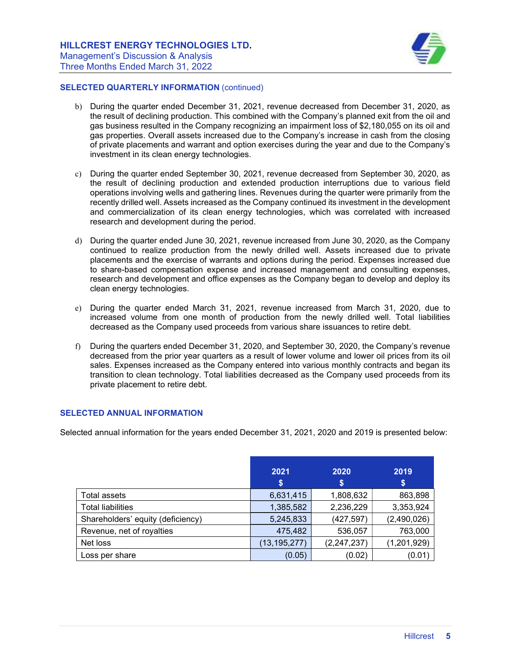

### SELECTED QUARTERLY INFORMATION (continued)

- b) During the quarter ended December 31, 2021, revenue decreased from December 31, 2020, as the result of declining production. This combined with the Company's planned exit from the oil and gas business resulted in the Company recognizing an impairment loss of \$2,180,055 on its oil and gas properties. Overall assets increased due to the Company's increase in cash from the closing of private placements and warrant and option exercises during the year and due to the Company's investment in its clean energy technologies.
- c) During the quarter ended September 30, 2021, revenue decreased from September 30, 2020, as the result of declining production and extended production interruptions due to various field operations involving wells and gathering lines. Revenues during the quarter were primarily from the recently drilled well. Assets increased as the Company continued its investment in the development and commercialization of its clean energy technologies, which was correlated with increased research and development during the period.
- d) During the quarter ended June 30, 2021, revenue increased from June 30, 2020, as the Company continued to realize production from the newly drilled well. Assets increased due to private placements and the exercise of warrants and options during the period. Expenses increased due to share-based compensation expense and increased management and consulting expenses, research and development and office expenses as the Company began to develop and deploy its clean energy technologies.
- e) During the quarter ended March 31, 2021, revenue increased from March 31, 2020, due to increased volume from one month of production from the newly drilled well. Total liabilities decreased as the Company used proceeds from various share issuances to retire debt.
- f) During the quarters ended December 31, 2020, and September 30, 2020, the Company's revenue decreased from the prior year quarters as a result of lower volume and lower oil prices from its oil sales. Expenses increased as the Company entered into various monthly contracts and began its transition to clean technology. Total liabilities decreased as the Company used proceeds from its private placement to retire debt.

## SELECTED ANNUAL INFORMATION

Selected annual information for the years ended December 31, 2021, 2020 and 2019 is presented below:

|                                   | 2021<br>S      | 2020<br>\$    | 2019<br>\$  |
|-----------------------------------|----------------|---------------|-------------|
| Total assets                      | 6,631,415      | 1,808,632     | 863,898     |
| <b>Total liabilities</b>          | 1,385,582      | 2,236,229     | 3,353,924   |
| Shareholders' equity (deficiency) | 5,245,833      | (427, 597)    | (2,490,026) |
| Revenue, net of royalties         | 475,482        | 536,057       | 763,000     |
| Net loss                          | (13, 195, 277) | (2, 247, 237) | (1,201,929) |
| Loss per share                    | (0.05)         | (0.02)        | (0.01)      |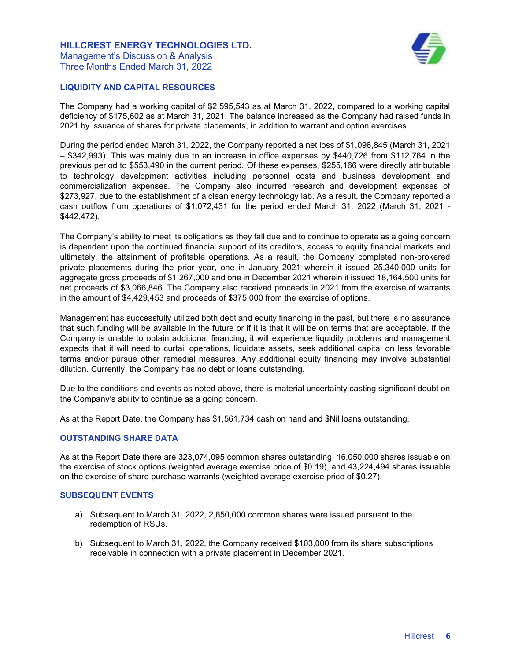

# LIQUIDITY AND CAPITAL RESOURCES

The Company had a working capital of \$2,595,543 as at March 31, 2022, compared to a working capital deficiency of \$175,602 as at March 31, 2021. The balance increased as the Company had raised funds in 2021 by issuance of shares for private placements, in addition to warrant and option exercises.

During the period ended March 31, 2022, the Company reported a net loss of \$1,096,845 (March 31, 2021 – \$342,993). This was mainly due to an increase in office expenses by \$440,726 from \$112,764 in the previous period to \$553,490 in the current period. Of these expenses, \$255,166 were directly attributable to technology development activities including personnel costs and business development and commercialization expenses. The Company also incurred research and development expenses of \$273,927, due to the establishment of a clean energy technology lab. As a result, the Company reported a cash outflow from operations of \$1,072,431 for the period ended March 31, 2022 (March 31, 2021 - \$442,472).

The Company's ability to meet its obligations as they fall due and to continue to operate as a going concern is dependent upon the continued financial support of its creditors, access to equity financial markets and ultimately, the attainment of profitable operations. As a result, the Company completed non-brokered private placements during the prior year, one in January 2021 wherein it issued 25,340,000 units for aggregate gross proceeds of \$1,267,000 and one in December 2021 wherein it issued 18,164,500 units for net proceeds of \$3,066,846. The Company also received proceeds in 2021 from the exercise of warrants in the amount of \$4,429,453 and proceeds of \$375,000 from the exercise of options.

Management has successfully utilized both debt and equity financing in the past, but there is no assurance that such funding will be available in the future or if it is that it will be on terms that are acceptable. If the Company is unable to obtain additional financing, it will experience liquidity problems and management expects that it will need to curtail operations, liquidate assets, seek additional capital on less favorable terms and/or pursue other remedial measures. Any additional equity financing may involve substantial dilution. Currently, the Company has no debt or loans outstanding.

Due to the conditions and events as noted above, there is material uncertainty casting significant doubt on the Company's ability to continue as a going concern.

As at the Report Date, the Company has \$1,561,734 cash on hand and \$Nil loans outstanding.

## OUTSTANDING SHARE DATA

As at the Report Date there are 323,074,095 common shares outstanding, 16,050,000 shares issuable on the exercise of stock options (weighted average exercise price of \$0.19), and 43,224,494 shares issuable on the exercise of share purchase warrants (weighted average exercise price of \$0.27).

## SUBSEQUENT EVENTS

- a) Subsequent to March 31, 2022, 2,650,000 common shares were issued pursuant to the redemption of RSUs.
- b) Subsequent to March 31, 2022, the Company received \$103,000 from its share subscriptions receivable in connection with a private placement in December 2021.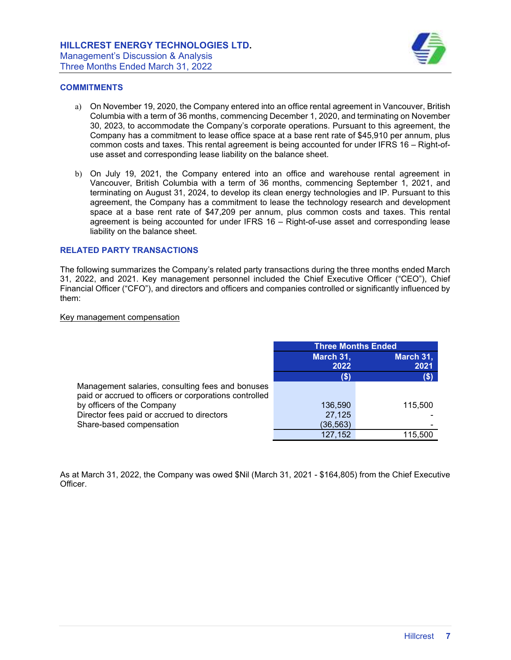

# **COMMITMENTS**

- a) On November 19, 2020, the Company entered into an office rental agreement in Vancouver, British Columbia with a term of 36 months, commencing December 1, 2020, and terminating on November 30, 2023, to accommodate the Company's corporate operations. Pursuant to this agreement, the Company has a commitment to lease office space at a base rent rate of \$45,910 per annum, plus common costs and taxes. This rental agreement is being accounted for under IFRS 16 – Right-ofuse asset and corresponding lease liability on the balance sheet.
- b) On July 19, 2021, the Company entered into an office and warehouse rental agreement in Vancouver, British Columbia with a term of 36 months, commencing September 1, 2021, and terminating on August 31, 2024, to develop its clean energy technologies and IP. Pursuant to this agreement, the Company has a commitment to lease the technology research and development space at a base rent rate of \$47,209 per annum, plus common costs and taxes. This rental agreement is being accounted for under IFRS 16 – Right-of-use asset and corresponding lease liability on the balance sheet.

#### RELATED PARTY TRANSACTIONS

The following summarizes the Company's related party transactions during the three months ended March 31, 2022, and 2021. Key management personnel included the Chief Executive Officer ("CEO"), Chief Financial Officer ("CFO"), and directors and officers and companies controlled or significantly influenced by them:

#### Key management compensation

|                                                        | <b>Three Months Ended</b> |           |  |
|--------------------------------------------------------|---------------------------|-----------|--|
|                                                        | March 31,                 | March 31, |  |
|                                                        | 2022                      | 2021      |  |
|                                                        | (\$)                      | (\$)      |  |
| Management salaries, consulting fees and bonuses       |                           |           |  |
| paid or accrued to officers or corporations controlled |                           |           |  |
| by officers of the Company                             | 136,590                   | 115,500   |  |
| Director fees paid or accrued to directors             | 27,125                    |           |  |
| Share-based compensation                               | (36,563)                  |           |  |
|                                                        | 127,152                   | 115,500   |  |

As at March 31, 2022, the Company was owed \$Nil (March 31, 2021 - \$164,805) from the Chief Executive Officer.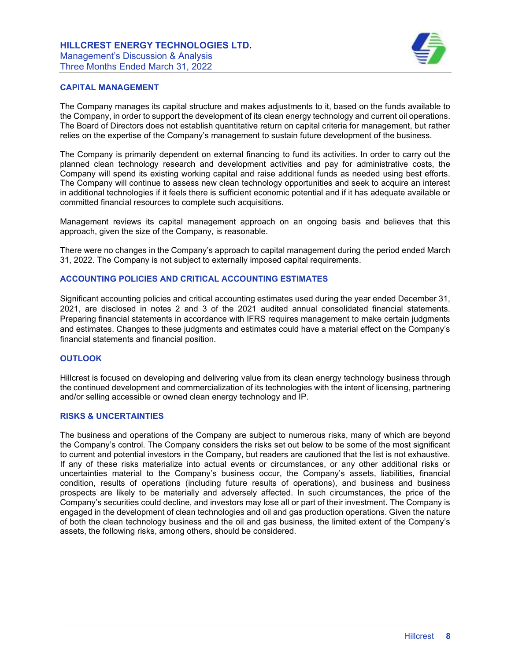

# CAPITAL MANAGEMENT

The Company manages its capital structure and makes adjustments to it, based on the funds available to the Company, in order to support the development of its clean energy technology and current oil operations. The Board of Directors does not establish quantitative return on capital criteria for management, but rather relies on the expertise of the Company's management to sustain future development of the business.

The Company is primarily dependent on external financing to fund its activities. In order to carry out the planned clean technology research and development activities and pay for administrative costs, the Company will spend its existing working capital and raise additional funds as needed using best efforts. The Company will continue to assess new clean technology opportunities and seek to acquire an interest in additional technologies if it feels there is sufficient economic potential and if it has adequate available or committed financial resources to complete such acquisitions.

Management reviews its capital management approach on an ongoing basis and believes that this approach, given the size of the Company, is reasonable.

There were no changes in the Company's approach to capital management during the period ended March 31, 2022. The Company is not subject to externally imposed capital requirements.

## ACCOUNTING POLICIES AND CRITICAL ACCOUNTING ESTIMATES

Significant accounting policies and critical accounting estimates used during the year ended December 31, 2021, are disclosed in notes 2 and 3 of the 2021 audited annual consolidated financial statements. Preparing financial statements in accordance with IFRS requires management to make certain judgments and estimates. Changes to these judgments and estimates could have a material effect on the Company's financial statements and financial position.

## **OUTLOOK**

Hillcrest is focused on developing and delivering value from its clean energy technology business through the continued development and commercialization of its technologies with the intent of licensing, partnering and/or selling accessible or owned clean energy technology and IP.

## RISKS & UNCERTAINTIES

The business and operations of the Company are subject to numerous risks, many of which are beyond the Company's control. The Company considers the risks set out below to be some of the most significant to current and potential investors in the Company, but readers are cautioned that the list is not exhaustive. If any of these risks materialize into actual events or circumstances, or any other additional risks or uncertainties material to the Company's business occur, the Company's assets, liabilities, financial condition, results of operations (including future results of operations), and business and business prospects are likely to be materially and adversely affected. In such circumstances, the price of the Company's securities could decline, and investors may lose all or part of their investment. The Company is engaged in the development of clean technologies and oil and gas production operations. Given the nature of both the clean technology business and the oil and gas business, the limited extent of the Company's assets, the following risks, among others, should be considered.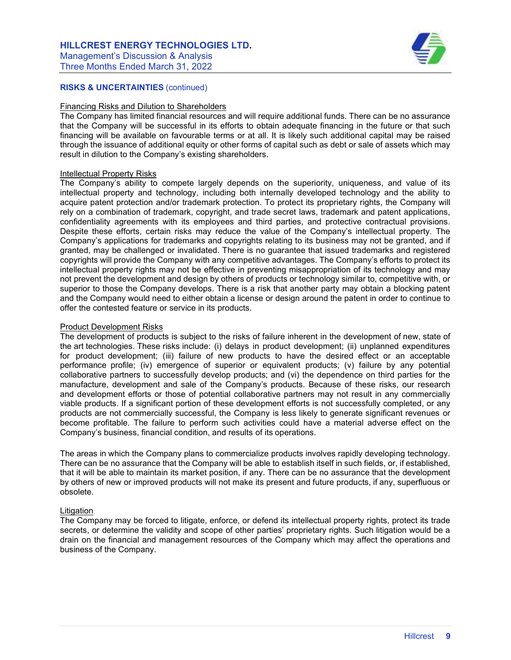# HILLCREST ENERGY TECHNOLOGIES LTD.

Management's Discussion & Analysis Three Months Ended March 31, 2022



# RISKS & UNCERTAINTIES (continued)

#### Financing Risks and Dilution to Shareholders

The Company has limited financial resources and will require additional funds. There can be no assurance that the Company will be successful in its efforts to obtain adequate financing in the future or that such financing will be available on favourable terms or at all. It is likely such additional capital may be raised through the issuance of additional equity or other forms of capital such as debt or sale of assets which may result in dilution to the Company's existing shareholders.

#### Intellectual Property Risks

The Company's ability to compete largely depends on the superiority, uniqueness, and value of its intellectual property and technology, including both internally developed technology and the ability to acquire patent protection and/or trademark protection. To protect its proprietary rights, the Company will rely on a combination of trademark, copyright, and trade secret laws, trademark and patent applications, confidentiality agreements with its employees and third parties, and protective contractual provisions. Despite these efforts, certain risks may reduce the value of the Company's intellectual property. The Company's applications for trademarks and copyrights relating to its business may not be granted, and if granted, may be challenged or invalidated. There is no guarantee that issued trademarks and registered copyrights will provide the Company with any competitive advantages. The Company's efforts to protect its intellectual property rights may not be effective in preventing misappropriation of its technology and may not prevent the development and design by others of products or technology similar to, competitive with, or superior to those the Company develops. There is a risk that another party may obtain a blocking patent and the Company would need to either obtain a license or design around the patent in order to continue to offer the contested feature or service in its products.

#### Product Development Risks

The development of products is subject to the risks of failure inherent in the development of new, state of the art technologies. These risks include: (i) delays in product development; (ii) unplanned expenditures for product development; (iii) failure of new products to have the desired effect or an acceptable performance profile; (iv) emergence of superior or equivalent products; (v) failure by any potential collaborative partners to successfully develop products; and (vi) the dependence on third parties for the manufacture, development and sale of the Company's products. Because of these risks, our research and development efforts or those of potential collaborative partners may not result in any commercially viable products. If a significant portion of these development efforts is not successfully completed, or any products are not commercially successful, the Company is less likely to generate significant revenues or become profitable. The failure to perform such activities could have a material adverse effect on the Company's business, financial condition, and results of its operations.

The areas in which the Company plans to commercialize products involves rapidly developing technology. There can be no assurance that the Company will be able to establish itself in such fields, or, if established, that it will be able to maintain its market position, if any. There can be no assurance that the development by others of new or improved products will not make its present and future products, if any, superfluous or obsolete.

## **Litigation**

The Company may be forced to litigate, enforce, or defend its intellectual property rights, protect its trade secrets, or determine the validity and scope of other parties' proprietary rights. Such litigation would be a drain on the financial and management resources of the Company which may affect the operations and business of the Company.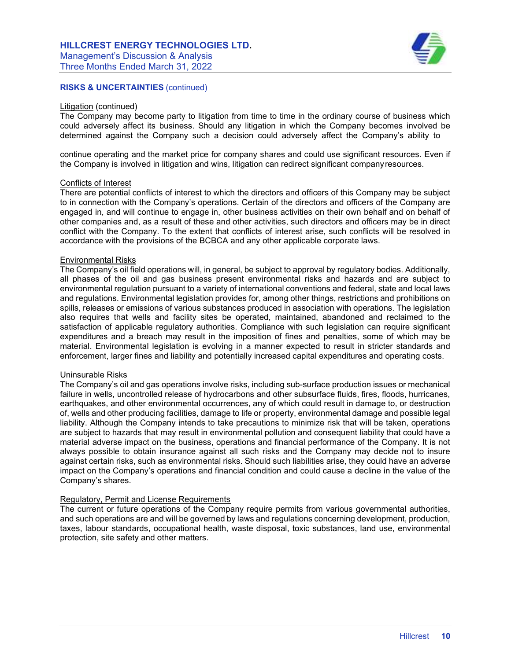

# RISKS & UNCERTAINTIES (continued)

#### Litigation (continued)

The Company may become party to litigation from time to time in the ordinary course of business which could adversely affect its business. Should any litigation in which the Company becomes involved be determined against the Company such a decision could adversely affect the Company's ability to

continue operating and the market price for company shares and could use significant resources. Even if the Company is involved in litigation and wins, litigation can redirect significant company resources.

# Conflicts of Interest

There are potential conflicts of interest to which the directors and officers of this Company may be subject to in connection with the Company's operations. Certain of the directors and officers of the Company are engaged in, and will continue to engage in, other business activities on their own behalf and on behalf of other companies and, as a result of these and other activities, such directors and officers may be in direct conflict with the Company. To the extent that conflicts of interest arise, such conflicts will be resolved in accordance with the provisions of the BCBCA and any other applicable corporate laws.

#### Environmental Risks

The Company's oil field operations will, in general, be subject to approval by regulatory bodies. Additionally, all phases of the oil and gas business present environmental risks and hazards and are subject to environmental regulation pursuant to a variety of international conventions and federal, state and local laws and regulations. Environmental legislation provides for, among other things, restrictions and prohibitions on spills, releases or emissions of various substances produced in association with operations. The legislation also requires that wells and facility sites be operated, maintained, abandoned and reclaimed to the satisfaction of applicable regulatory authorities. Compliance with such legislation can require significant expenditures and a breach may result in the imposition of fines and penalties, some of which may be material. Environmental legislation is evolving in a manner expected to result in stricter standards and enforcement, larger fines and liability and potentially increased capital expenditures and operating costs.

#### Uninsurable Risks

The Company's oil and gas operations involve risks, including sub-surface production issues or mechanical failure in wells, uncontrolled release of hydrocarbons and other subsurface fluids, fires, floods, hurricanes, earthquakes, and other environmental occurrences, any of which could result in damage to, or destruction of, wells and other producing facilities, damage to life or property, environmental damage and possible legal liability. Although the Company intends to take precautions to minimize risk that will be taken, operations are subject to hazards that may result in environmental pollution and consequent liability that could have a material adverse impact on the business, operations and financial performance of the Company. It is not always possible to obtain insurance against all such risks and the Company may decide not to insure against certain risks, such as environmental risks. Should such liabilities arise, they could have an adverse impact on the Company's operations and financial condition and could cause a decline in the value of the Company's shares.

## Regulatory, Permit and License Requirements

The current or future operations of the Company require permits from various governmental authorities, and such operations are and will be governed by laws and regulations concerning development, production, taxes, labour standards, occupational health, waste disposal, toxic substances, land use, environmental protection, site safety and other matters.